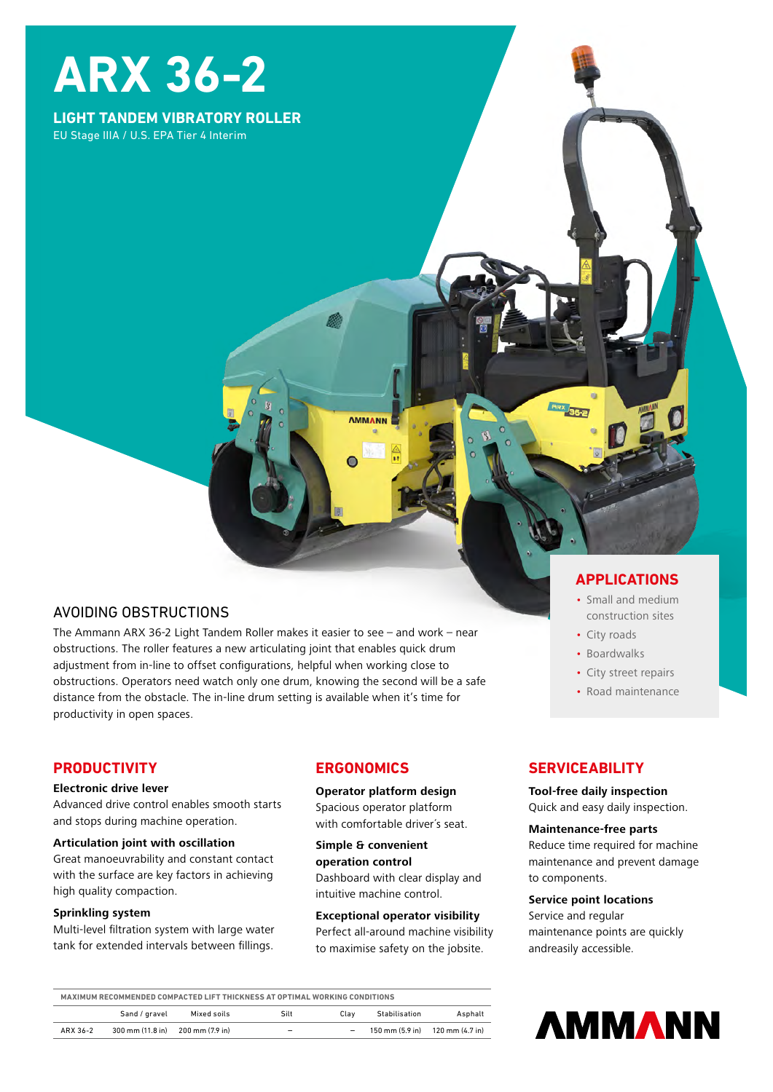# **ARX 36-2**

## **LIGHT TANDEM VIBRATORY ROLLER** EU Stage IIIA / U.S. EPA Tier 4 Interim

# AVOIDING OBSTRUCTIONS

The Ammann ARX 36-2 Light Tandem Roller makes it easier to see – and work – near obstructions. The roller features a new articulating joint that enables quick drum adjustment from in-line to offset configurations, helpful when working close to obstructions. Operators need watch only one drum, knowing the second will be a safe distance from the obstacle. The in-line drum setting is available when it's time for productivity in open spaces.

## **PRODUCTIVITY**

#### **Electronic drive lever**

Advanced drive control enables smooth starts and stops during machine operation.

#### **Articulation joint with oscillation**

Great manoeuvrability and constant contact with the surface are key factors in achieving high quality compaction.

#### **Sprinkling system**

Multi-level filtration system with large water tank for extended intervals between fillings.

## **ERGONOMICS**

**AMMANN** 

**Operator platform design** Spacious operator platform with comfortable driver's seat.

**Simple & convenient operation control** 

Dashboard with clear display and intuitive machine control.

#### **Exceptional operator visibility**

Perfect all-around machine visibility to maximise safety on the jobsite.

## **APPLICATIONS**

- Small and medium construction sites
- City roads
- Boardwalks
- City street repairs
- Road maintenance

## **SERVICEABILITY**

#### **Tool-free daily inspection**

Quick and easy daily inspection.

#### **Maintenance-free parts**

Reduce time required for machine maintenance and prevent damage to components.

#### **Service point locations**

Service and regular maintenance points are quickly andreasily accessible.

| MAXIMUM RECOMMENDED COMPACTED LIFT THICKNESS AT OPTIMAL WORKING CONDITIONS |                                  |             |                          |      |               |                                                                     |
|----------------------------------------------------------------------------|----------------------------------|-------------|--------------------------|------|---------------|---------------------------------------------------------------------|
|                                                                            | Sand / gravel                    | Mixed soils | Silt                     | Clav | Stabilisation | Asphalt                                                             |
| ARX 36-2                                                                   | 300 mm (11.8 in) 200 mm (7.9 in) |             | $\overline{\phantom{a}}$ | -    |               | $150 \text{ mm} (5.9 \text{ in})$ $120 \text{ mm} (4.7 \text{ in})$ |